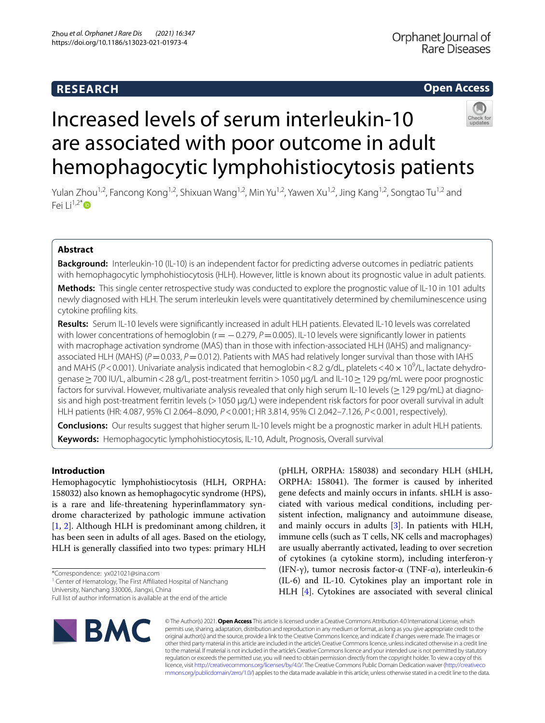# **RESEARCH**

## **Open Access**



# Increased levels of serum interleukin-10 are associated with poor outcome in adult hemophagocytic lymphohistiocytosis patients

Yulan Zhou<sup>1,2</sup>, Fancong Kong<sup>1,2</sup>, Shixuan Wang<sup>1,2</sup>, Min Yu<sup>1,2</sup>, Yawen Xu<sup>1,2</sup>, Jing Kang<sup>1,2</sup>, Songtao Tu<sup>1,2</sup> and Fei  $1i^{1,2^*}$  $1i^{1,2^*}$  $1i^{1,2^*}$  D

## **Abstract**

**Background:** Interleukin-10 (IL-10) is an independent factor for predicting adverse outcomes in pediatric patients with hemophagocytic lymphohistiocytosis (HLH). However, little is known about its prognostic value in adult patients.

**Methods:** This single center retrospective study was conducted to explore the prognostic value of IL-10 in 101 adults newly diagnosed with HLH. The serum interleukin levels were quantitatively determined by chemiluminescence using cytokine profling kits.

**Results:** Serum IL-10 levels were signifcantly increased in adult HLH patients. Elevated IL-10 levels was correlated with lower concentrations of hemoglobin (r = -0.279, *P* = 0.005). IL-10 levels were significantly lower in patients with macrophage activation syndrome (MAS) than in those with infection-associated HLH (IAHS) and malignancyassociated HLH (MAHS) ( $P=0.033$ ,  $P=0.012$ ). Patients with MAS had relatively longer survival than those with IAHS and MAHS (P<0.001). Univariate analysis indicated that hemoglobin<8.2 g/dL, platelets<40  $\times$  10<sup>9</sup>/L, lactate dehydrogenase ≥ 700 IU/L, albumin < 28 g/L, post-treatment ferritin > 1050 µg/L and IL-10 ≥ 129 pg/mL were poor prognostic factors for survival. However, multivariate analysis revealed that only high serum IL-10 levels (>129 pg/mL) at diagnosis and high post-treatment ferritin levels (>1050 µg/L) were independent risk factors for poor overall survival in adult HLH patients (HR: 4.087, 95% CI 2.064–8.090, *P*<0.001; HR 3.814, 95% CI 2.042–7.126, *P*<0.001, respectively).

**Conclusions:** Our results suggest that higher serum IL-10 levels might be a prognostic marker in adult HLH patients. **Keywords:** Hemophagocytic lymphohistiocytosis, IL-10, Adult, Prognosis, Overall survival

## **Introduction**

Hemophagocytic lymphohistiocytosis (HLH, ORPHA: 158032) also known as hemophagocytic syndrome (HPS), is a rare and life-threatening hyperinfammatory syndrome characterized by pathologic immune activation [[1,](#page-5-0) [2\]](#page-5-1). Although HLH is predominant among children, it has been seen in adults of all ages. Based on the etiology, HLH is generally classifed into two types: primary HLH

<sup>1</sup> Center of Hematology, The First Affiliated Hospital of Nanchang

University, Nanchang 330006, Jiangxi, China

Full list of author information is available at the end of the article



(pHLH, ORPHA: 158038) and secondary HLH (sHLH, ORPHA: 158041). The former is caused by inherited gene defects and mainly occurs in infants. sHLH is associated with various medical conditions, including persistent infection, malignancy and autoimmune disease, and mainly occurs in adults [\[3](#page-5-2)]. In patients with HLH, immune cells (such as T cells, NK cells and macrophages) are usually aberrantly activated, leading to over secretion of cytokines (a cytokine storm), including interferon-γ (IFN-γ), tumor necrosis factor-α (TNF-α), interleukin-6 (IL-6) and IL-10. Cytokines play an important role in HLH [[4\]](#page-5-3). Cytokines are associated with several clinical

© The Author(s) 2021. **Open Access** This article is licensed under a Creative Commons Attribution 4.0 International License, which permits use, sharing, adaptation, distribution and reproduction in any medium or format, as long as you give appropriate credit to the original author(s) and the source, provide a link to the Creative Commons licence, and indicate if changes were made. The images or other third party material in this article are included in the article's Creative Commons licence, unless indicated otherwise in a credit line to the material. If material is not included in the article's Creative Commons licence and your intended use is not permitted by statutory regulation or exceeds the permitted use, you will need to obtain permission directly from the copyright holder. To view a copy of this licence, visit [http://creativecommons.org/licenses/by/4.0/.](http://creativecommons.org/licenses/by/4.0/) The Creative Commons Public Domain Dedication waiver ([http://creativeco](http://creativecommons.org/publicdomain/zero/1.0/) [mmons.org/publicdomain/zero/1.0/](http://creativecommons.org/publicdomain/zero/1.0/)) applies to the data made available in this article, unless otherwise stated in a credit line to the data.

<sup>\*</sup>Correspondence: yx021021@sina.com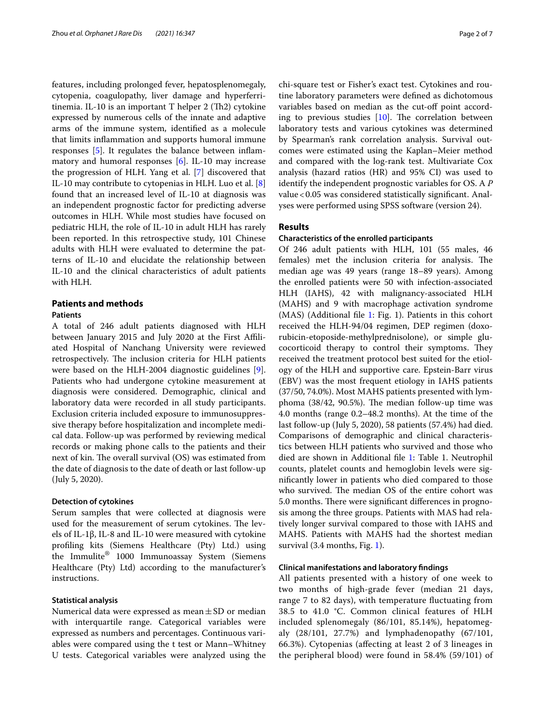features, including prolonged fever, hepatosplenomegaly, cytopenia, coagulopathy, liver damage and hyperferritinemia. IL-10 is an important  $T$  helper  $2$  (Th2) cytokine expressed by numerous cells of the innate and adaptive arms of the immune system, identifed as a molecule that limits infammation and supports humoral immune responses [\[5](#page-5-4)]. It regulates the balance between infammatory and humoral responses [\[6](#page-5-5)]. IL-10 may increase the progression of HLH. Yang et al. [[7\]](#page-5-6) discovered that IL-10 may contribute to cytopenias in HLH. Luo et al. [\[8](#page-5-7)] found that an increased level of IL-10 at diagnosis was an independent prognostic factor for predicting adverse outcomes in HLH. While most studies have focused on pediatric HLH, the role of IL-10 in adult HLH has rarely been reported. In this retrospective study, 101 Chinese adults with HLH were evaluated to determine the patterns of IL-10 and elucidate the relationship between IL-10 and the clinical characteristics of adult patients with HLH.

## **Patients and methods**

## **Patients**

A total of 246 adult patients diagnosed with HLH between January 2015 and July 2020 at the First Afliated Hospital of Nanchang University were reviewed retrospectively. The inclusion criteria for HLH patients were based on the HLH-2004 diagnostic guidelines [\[9](#page-5-8)]. Patients who had undergone cytokine measurement at diagnosis were considered. Demographic, clinical and laboratory data were recorded in all study participants. Exclusion criteria included exposure to immunosuppressive therapy before hospitalization and incomplete medical data. Follow-up was performed by reviewing medical records or making phone calls to the patients and their next of kin. The overall survival (OS) was estimated from the date of diagnosis to the date of death or last follow-up (July 5, 2020).

#### **Detection of cytokines**

Serum samples that were collected at diagnosis were used for the measurement of serum cytokines. The levels of IL-1β, IL-8 and IL-10 were measured with cytokine profling kits (Siemens Healthcare (Pty) Ltd.) using the Immulite® 1000 Immunoassay System (Siemens Healthcare (Pty) Ltd) according to the manufacturer's instructions.

#### **Statistical analysis**

Numerical data were expressed as mean  $\pm$  SD or median with interquartile range. Categorical variables were expressed as numbers and percentages. Continuous variables were compared using the t test or Mann–Whitney U tests. Categorical variables were analyzed using the chi-square test or Fisher's exact test. Cytokines and routine laboratory parameters were defned as dichotomous variables based on median as the cut-off point according to previous studies  $[10]$  $[10]$ . The correlation between laboratory tests and various cytokines was determined by Spearman's rank correlation analysis. Survival outcomes were estimated using the Kaplan–Meier method and compared with the log-rank test. Multivariate Cox analysis (hazard ratios (HR) and 95% CI) was used to identify the independent prognostic variables for OS. A *P* value<0.05 was considered statistically signifcant. Analyses were performed using SPSS software (version 24).

## **Results**

## **Characteristics of the enrolled participants**

Of 246 adult patients with HLH, 101 (55 males, 46 females) met the inclusion criteria for analysis. The median age was 49 years (range 18–89 years). Among the enrolled patients were 50 with infection-associated HLH (IAHS), 42 with malignancy-associated HLH (MAHS) and 9 with macrophage activation syndrome (MAS) (Additional fle [1](#page-5-10): Fig. 1). Patients in this cohort received the HLH-94/04 regimen, DEP regimen (doxorubicin-etoposide-methylprednisolone), or simple glucocorticoid therapy to control their symptoms. They received the treatment protocol best suited for the etiology of the HLH and supportive care. Epstein-Barr virus (EBV) was the most frequent etiology in IAHS patients (37/50, 74.0%). Most MAHS patients presented with lymphoma (38/42, 90.5%). The median follow-up time was 4.0 months (range 0.2–48.2 months). At the time of the last follow-up (July 5, 2020), 58 patients (57.4%) had died. Comparisons of demographic and clinical characteristics between HLH patients who survived and those who died are shown in Additional fle [1](#page-5-10): Table 1. Neutrophil counts, platelet counts and hemoglobin levels were signifcantly lower in patients who died compared to those who survived. The median OS of the entire cohort was 5.0 months. There were significant differences in prognosis among the three groups. Patients with MAS had relatively longer survival compared to those with IAHS and MAHS. Patients with MAHS had the shortest median survival (3.4 months, Fig. [1\)](#page-2-0).

## **Clinical manifestations and laboratory fndings**

All patients presented with a history of one week to two months of high-grade fever (median 21 days, range 7 to 82 days), with temperature fuctuating from 38.5 to 41.0 °C. Common clinical features of HLH included splenomegaly (86/101, 85.14%), hepatomegaly (28/101, 27.7%) and lymphadenopathy (67/101, 66.3%). Cytopenias (afecting at least 2 of 3 lineages in the peripheral blood) were found in 58.4% (59/101) of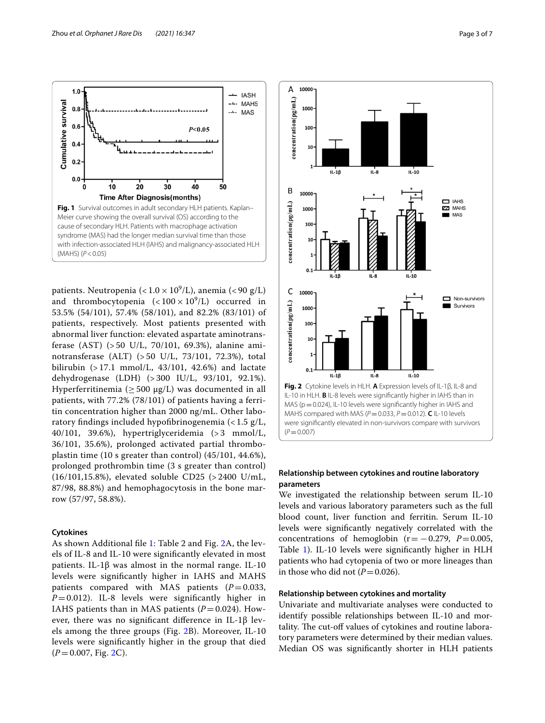

<span id="page-2-0"></span>patients. Neutropenia (< $1.0 \times 10^9$ /L), anemia (< $90 \text{ g/L}$ ) and thrombocytopenia  $\left( < 100 \times 10^9/\text{L} \right)$  occurred in 53.5% (54/101), 57.4% (58/101), and 82.2% (83/101) of patients, respectively. Most patients presented with abnormal liver function: elevated aspartate aminotransferase (AST) (> 50 U/L, 70/101, 69.3%), alanine aminotransferase (ALT) (> 50 U/L, 73/101, 72.3%), total bilirubin  $(>17.1 \text{ mmol/L}, 43/101, 42.6%)$  and lactate dehydrogenase (LDH) (> 300 IU/L, 93/101, 92.1%). Hyperferritinemia ( $\geq$  500 μg/L) was documented in all patients, with 77.2% (78/101) of patients having a ferritin concentration higher than 2000 ng/mL. Other laboratory fndings included hypofbrinogenemia (< 1.5 g/L, 40/101, 39.6%), hypertriglyceridemia (> 3 mmol/L, 36/101, 35.6%), prolonged activated partial thromboplastin time (10 s greater than control) (45/101, 44.6%), prolonged prothrombin time (3 s greater than control) (16/101,15.8%), elevated soluble CD25 (> 2400 U/mL, 87/98, 88.8%) and hemophagocytosis in the bone marrow (57/97, 58.8%).

## **Cytokines**

As shown Additional fle [1:](#page-5-10) Table 2 and Fig. [2A](#page-2-1), the levels of IL-8 and IL-10 were signifcantly elevated in most patients. IL-1β was almost in the normal range. IL-10 levels were signifcantly higher in IAHS and MAHS patients compared with MAS patients  $(P=0.033,$ *P*=0.012). IL-8 levels were signifcantly higher in IAHS patients than in MAS patients  $(P=0.024)$ . However, there was no significant difference in IL-1 $\beta$  levels among the three groups (Fig. [2B](#page-2-1)). Moreover, IL-10 levels were signifcantly higher in the group that died (*P*=0.007, Fig. [2](#page-2-1)C).



## <span id="page-2-1"></span>**Relationship between cytokines and routine laboratory parameters**

We investigated the relationship between serum IL-10 levels and various laboratory parameters such as the full blood count, liver function and ferritin. Serum IL-10 levels were signifcantly negatively correlated with the concentrations of hemoglobin  $(r=-0.279, P=0.005,$ Table [1\)](#page-3-0). IL-10 levels were signifcantly higher in HLH patients who had cytopenia of two or more lineages than in those who did not  $(P=0.026)$ .

#### **Relationship between cytokines and mortality**

Univariate and multivariate analyses were conducted to identify possible relationships between IL-10 and mortality. The cut-off values of cytokines and routine laboratory parameters were determined by their median values. Median OS was signifcantly shorter in HLH patients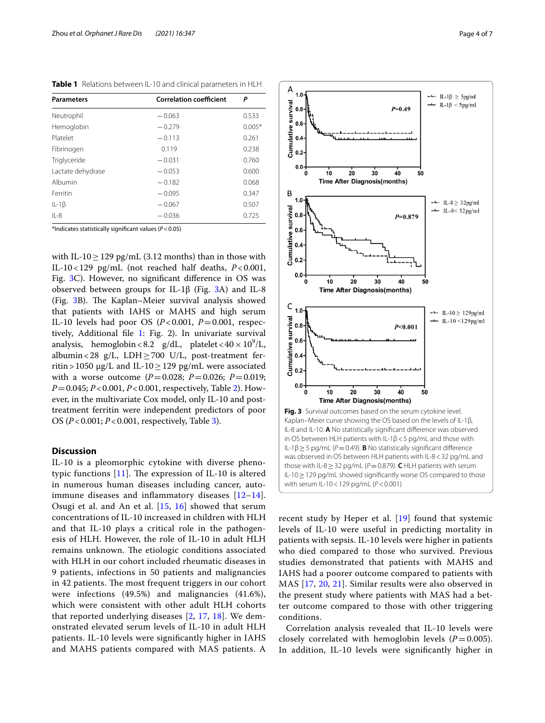| <b>Parameters</b> | <b>Correlation coefficient</b> | P        |
|-------------------|--------------------------------|----------|
| Neutrophil        | $-0.063$                       | 0.533    |
| Hemoglobin        | $-0.279$                       | $0.005*$ |
| Platelet          | $-0.113$                       | 0.261    |
| Fibrinogen        | 0.119                          | 0.238    |
| Triglyceride      | $-0.031$                       | 0.760    |
| Lactate dehydrase | $-0.053$                       | 0.600    |
| Albumin           | $-0.182$                       | 0.068    |
| Ferritin          | $-0.095$                       | 0.347    |
| $IL-1\beta$       | $-0.067$                       | 0.507    |
| $IL-8$            | $-0.036$                       | 0.725    |

<span id="page-3-0"></span>**Table 1** Relations between IL-10 and clinical parameters in HLH

\*Indicates statistically signifcant values (*P*<0.05)

with IL-10 $\geq$  129 pg/mL (3.12 months) than in those with IL-10<129 pg/mL (not reached half deaths, *P*<0.001, Fig. [3C](#page-3-1)). However, no signifcant diference in OS was observed between groups for IL-1β (Fig. [3](#page-3-1)A) and IL-8 (Fig. [3B](#page-3-1)). The Kaplan–Meier survival analysis showed that patients with IAHS or MAHS and high serum IL-10 levels had poor OS (*P*<0.001, *P*=0.001, respectively, Additional fle [1](#page-5-10): Fig. 2). In univariate survival analysis, hemoglobin < 8.2 g/dL, platelet <  $40 \times 10^9$ /L, albumin<28  $g/L$ , LDH $\geq$ 700 U/L, post-treatment ferritin > 1050 µg/L and IL-10  $\geq$  129 pg/mL were associated with a worse outcome (*P*=0.028; *P*=0.026; *P*=0.019; *P*=0.045; *P*<0.001, *P*<0.001, respectively, Table [2\)](#page-4-0). However, in the multivariate Cox model, only IL-10 and posttreatment ferritin were independent predictors of poor OS (*P*<0.001; *P*<0.001, respectively, Table [3](#page-4-1)).

#### **Discussion**

IL-10 is a pleomorphic cytokine with diverse phenotypic functions  $[11]$ . The expression of IL-10 is altered in numerous human diseases including cancer, autoimmune diseases and infammatory diseases [[12–](#page-5-12)[14\]](#page-5-13). Osugi et al. and An et al. [[15,](#page-5-14) [16](#page-5-15)] showed that serum concentrations of IL-10 increased in children with HLH and that IL-10 plays a critical role in the pathogenesis of HLH. However, the role of IL-10 in adult HLH remains unknown. The etiologic conditions associated with HLH in our cohort included rheumatic diseases in 9 patients, infections in 50 patients and malignancies in 42 patients. The most frequent triggers in our cohort were infections (49.5%) and malignancies (41.6%), which were consistent with other adult HLH cohorts that reported underlying diseases [[2](#page-5-1), [17,](#page-5-16) [18](#page-5-17)]. We demonstrated elevated serum levels of IL-10 in adult HLH patients. IL-10 levels were signifcantly higher in IAHS and MAHS patients compared with MAS patients. A



<span id="page-3-1"></span>recent study by Heper et al. [\[19\]](#page-5-18) found that systemic levels of IL-10 were useful in predicting mortality in patients with sepsis. IL-10 levels were higher in patients who died compared to those who survived. Previous studies demonstrated that patients with MAHS and IAHS had a poorer outcome compared to patients with MAS [[17](#page-5-16), [20](#page-6-0), [21\]](#page-6-1). Similar results were also observed in the present study where patients with MAS had a better outcome compared to those with other triggering conditions.

Correlation analysis revealed that IL-10 levels were closely correlated with hemoglobin levels  $(P=0.005)$ . In addition, IL-10 levels were signifcantly higher in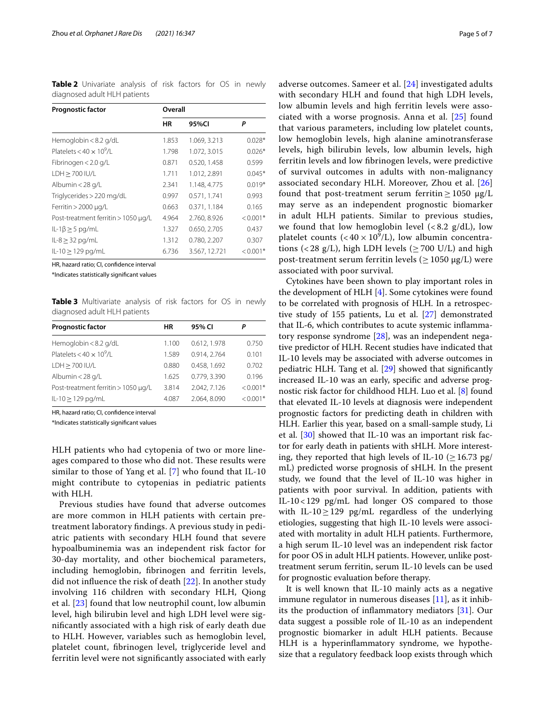<span id="page-4-0"></span>**Table 2** Univariate analysis of risk factors for OS in newly diagnosed adult HLH patients

| <b>Prognostic factor</b>                     | Overall |               |            |  |
|----------------------------------------------|---------|---------------|------------|--|
|                                              | HR      | 95%CI         | Ρ          |  |
| Hemoglobin < 8.2 g/dL                        | 1.853   | 1.069, 3.213  | $0.028*$   |  |
| Platelets $<$ 40 $\times$ 10 <sup>9</sup> /l | 1.798   | 1.072, 3.015  | $0.026*$   |  |
| Fibrinogen < 2.0 g/L                         | 0.871   | 0.520, 1.458  | 0.599      |  |
| $LDH > 700$ $IU/L$                           | 1.711   | 1.012, 2.891  | $0.045*$   |  |
| Albumin < 28 g/L                             | 2.341   | 1.148.4.775   | $0.019*$   |  |
| Triglycerides > 220 mg/dL                    | 0.997   | 0.571, 1.741  | 0.993      |  |
| Ferritin $> 2000 \mu q/L$                    | 0.663   | 0.371, 1.184  | 0.165      |  |
| Post-treatment ferritin > 1050 µg/L          | 4.964   | 2.760, 8.926  | $< 0.001*$ |  |
| $ L-1\beta \geq 5$ pg/mL                     | 1.327   | 0.650, 2.705  | 0.437      |  |
| $IL-8 \geq 32$ pg/mL                         | 1.312   | 0.780, 2.207  | 0.307      |  |
| $ L-10  > 129$ pg/mL                         | 6.736   | 3.567, 12.721 | $< 0.001*$ |  |

HR, hazard ratio; CI, confdence interval

\*Indicates statistically signifcant values

<span id="page-4-1"></span>**Table 3** Multivariate analysis of risk factors for OS in newly diagnosed adult HLH patients

| <b>Prognostic factor</b>            | ΗR    | 95% CI       |            |
|-------------------------------------|-------|--------------|------------|
| Hemoglobin < 8.2 g/dL               | 1.100 | 0.612, 1.978 | 0.750      |
| Platelets < $40 \times 10^9$ /L     | 1.589 | 0.914, 2.764 | 0.101      |
| LDH > 700 IU/L                      | 0.880 | 0.458, 1.692 | 0.702      |
| Albumin < 28 g/L                    | 1.625 | 0.779, 3.390 | 0.196      |
| Post-treatment ferritin > 1050 µg/L | 3.814 | 2.042, 7.126 | $< 0.001*$ |
| IL-10 > 129 pg/mL                   | 4.087 | 2.064, 8.090 | $< 0.001*$ |

HR, hazard ratio; CI, confdence interval

\*Indicates statistically signifcant values

HLH patients who had cytopenia of two or more lineages compared to those who did not. These results were similar to those of Yang et al. [[7](#page-5-6)] who found that IL-10 might contribute to cytopenias in pediatric patients with HLH.

Previous studies have found that adverse outcomes are more common in HLH patients with certain pretreatment laboratory fndings. A previous study in pediatric patients with secondary HLH found that severe hypoalbuminemia was an independent risk factor for 30-day mortality, and other biochemical parameters, including hemoglobin, fbrinogen and ferritin levels, did not infuence the risk of death [\[22\]](#page-6-2). In another study involving 116 children with secondary HLH, Qiong et al. [[23\]](#page-6-3) found that low neutrophil count, low albumin level, high bilirubin level and high LDH level were signifcantly associated with a high risk of early death due to HLH. However, variables such as hemoglobin level, platelet count, fbrinogen level, triglyceride level and ferritin level were not signifcantly associated with early adverse outcomes. Sameer et al. [\[24](#page-6-4)] investigated adults with secondary HLH and found that high LDH levels, low albumin levels and high ferritin levels were associated with a worse prognosis. Anna et al. [[25\]](#page-6-5) found that various parameters, including low platelet counts, low hemoglobin levels, high alanine aminotransferase levels, high bilirubin levels, low albumin levels, high ferritin levels and low fbrinogen levels, were predictive of survival outcomes in adults with non-malignancy associated secondary HLH. Moreover, Zhou et al. [\[26](#page-6-6)] found that post-treatment serum ferritin  $\geq 1050 \mu g/L$ may serve as an independent prognostic biomarker in adult HLH patients. Similar to previous studies, we found that low hemoglobin level  $\langle$  < 8.2 g/dL), low platelet counts ( $<$  40  $\times$  10<sup>9</sup>/L), low albumin concentrations (<28 g/L), high LDH levels ( $\geq$  700 U/L) and high post-treatment serum ferritin levels ( $\geq$  1050 µg/L) were associated with poor survival.

Cytokines have been shown to play important roles in the development of HLH [[4\]](#page-5-3). Some cytokines were found to be correlated with prognosis of HLH. In a retrospective study of 155 patients, Lu et al. [\[27](#page-6-7)] demonstrated that IL-6, which contributes to acute systemic infammatory response syndrome [\[28](#page-6-8)], was an independent negative predictor of HLH. Recent studies have indicated that IL-10 levels may be associated with adverse outcomes in pediatric HLH. Tang et al. [[29\]](#page-6-9) showed that signifcantly increased IL-10 was an early, specifc and adverse prognostic risk factor for childhood HLH. Luo et al. [[8\]](#page-5-7) found that elevated IL-10 levels at diagnosis were independent prognostic factors for predicting death in children with HLH. Earlier this year, based on a small-sample study, Li et al. [[30](#page-6-10)] showed that IL-10 was an important risk factor for early death in patients with sHLH. More interesting, they reported that high levels of IL-10 ( $\geq$  16.73 pg/ mL) predicted worse prognosis of sHLH. In the present study, we found that the level of IL-10 was higher in patients with poor survival. In addition, patients with IL-10<129 pg/mL had longer OS compared to those with IL-10 $\geq$ 129 pg/mL regardless of the underlying etiologies, suggesting that high IL-10 levels were associated with mortality in adult HLH patients. Furthermore, a high serum IL-10 level was an independent risk factor for poor OS in adult HLH patients. However, unlike posttreatment serum ferritin, serum IL-10 levels can be used for prognostic evaluation before therapy.

It is well known that IL-10 mainly acts as a negative immune regulator in numerous diseases [[11\]](#page-5-11), as it inhibits the production of infammatory mediators [[31\]](#page-6-11). Our data suggest a possible role of IL-10 as an independent prognostic biomarker in adult HLH patients. Because HLH is a hyperinfammatory syndrome, we hypothesize that a regulatory feedback loop exists through which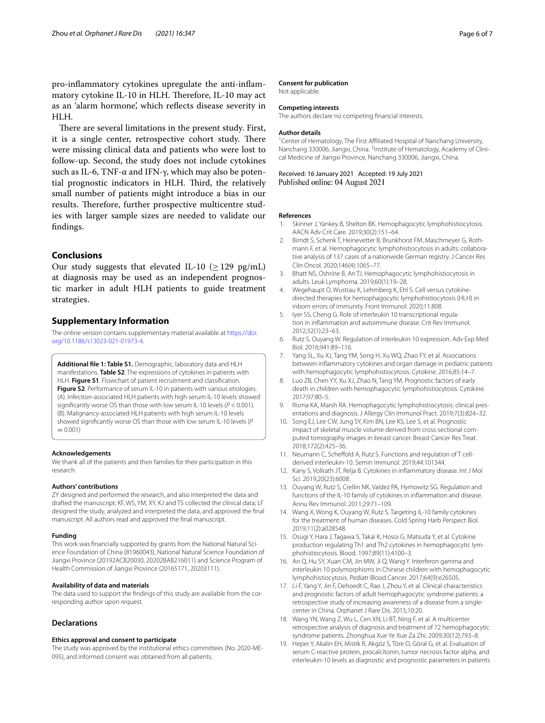pro-infammatory cytokines upregulate the anti-infammatory cytokine IL-10 in HLH. Therefore, IL-10 may act as an 'alarm hormone', which refects disease severity in HLH.

There are several limitations in the present study. First, it is a single center, retrospective cohort study. There were missing clinical data and patients who were lost to follow-up. Second, the study does not include cytokines such as IL-6, TNF- $\alpha$  and IFN-γ, which may also be potential prognostic indicators in HLH. Third, the relatively small number of patients might introduce a bias in our results. Therefore, further prospective multicentre studies with larger sample sizes are needed to validate our fndings.

## **Conclusions**

Our study suggests that elevated IL-10 ( $\geq$  129 pg/mL) at diagnosis may be used as an independent prognostic marker in adult HLH patients to guide treatment strategies.

## **Supplementary Information**

The online version contains supplementary material available at [https://doi.](https://doi.org/10.1186/s13023-021-01973-4) [org/10.1186/s13023-021-01973-4](https://doi.org/10.1186/s13023-021-01973-4).

<span id="page-5-10"></span>**Additional fle 1: Table S1.** Demographic, laboratory data and HLH manifestations. **Table S2**. The expressions of cytokines in patients with HLH. **Figure S1**. Flowchart of patient recruitment and classifcation. **Figure S2**. Performance of serum IL-10 in patients with various etiologies. (A). Infection-associated HLH patients with high serum IL-10 levels showed signifcantly worse OS than those with low serum IL-10 levels (*P* < 0.001). (B). Malignancy-associated HLH patients with high serum IL-10 levels showed signifcantly worse OS than those with low serum IL-10 levels (*P*  $= 0.001$ 

#### **Acknowledgements**

We thank all of the patients and their families for their participation in this research.

#### **Authors' contributions**

ZY designed and performed the research, and also interpreted the data and drafted the manuscript; KF, WS, YM, XY, KJ and TS collected the clinical data; LF designed the study, analyzed and interpreted the data, and approved the fnal manuscript. All authors read and approved the fnal manuscript.

#### **Funding**

This work was fnancially supported by grants from the National Natural Science Foundation of China (81960043), National Natural Science Foundation of Jiangxi Province (20192ACB20030, 20202BAB216011) and Science Program of Health Commission of Jiangxi Province (20165171, 20203111).

#### **Availability of data and materials**

The data used to support the fndings of this study are available from the corresponding author upon request.

## **Declarations**

#### **Ethics approval and consent to participate**

The study was approved by the institutional ethics committees (No. 2020-ME-095), and informed consent was obtained from all patients.

#### **Consent for publication**

Not applicable.

#### **Competing interests**

The authors declare no competing fnancial interests.

#### **Author details**

<sup>1</sup> Center of Hematology, The First Affiliated Hospital of Nanchang University, Nanchang 330006, Jiangxi, China. <sup>2</sup>Institute of Hematology, Academy of Clinical Medicine of Jiangxi Province, Nanchang 330006, Jiangxi, China.

Received: 16 January 2021 Accepted: 19 July 2021 Published online: 04 August 2021

#### **References**

- <span id="page-5-0"></span>1. Skinner J, Yankey B, Shelton BK. Hemophagocytic lymphohistiocytosis. AACN Adv Crit Care. 2019;30(2):151–64.
- <span id="page-5-1"></span>2. Birndt S, Schenk T, Heinevetter B, Brunkhorst FM, Maschmeyer G, Rothmann F, et al. Hemophagocytic lymphohistiocytosis in adults: collaborative analysis of 137 cases of a nationwide German registry. J Cancer Res Clin Oncol. 2020;146(4):1065–77.
- <span id="page-5-2"></span>3. Bhatt NS, Oshrine B, An TJ. Hemophagocytic lymphohistiocytosis in adults. Leuk Lymphoma. 2019;60(1):19–28.
- <span id="page-5-3"></span>4. Wegehaupt O, Wustrau K, Lehmberg K, Ehl S. Cell versus cytokinedirected therapies for hemophagocytic lymphohistiocytosis (HLH) in inborn errors of immunity. Front Immunol. 2020;11:808.
- <span id="page-5-4"></span>5. Iyer SS, Cheng G. Role of interleukin 10 transcriptional regulation in infammation and autoimmune disease. Crit Rev Immunol. 2012;32(1):23–63.
- <span id="page-5-5"></span>6. Rutz S, Ouyang W. Regulation of interleukin-10 expression. Adv Exp Med Biol. 2016;941:89–116.
- <span id="page-5-6"></span>7. Yang SL, Xu XJ, Tang YM, Song H, Xu WQ, Zhao FY, et al. Associations between infammatory cytokines and organ damage in pediatric patients with hemophagocytic lymphohistiocytosis. Cytokine. 2016;85:14–7.
- <span id="page-5-7"></span>8. Luo ZB, Chen YY, Xu XJ, Zhao N, Tang YM. Prognostic factors of early death in children with hemophagocytic lymphohistiocytosis. Cytokine. 2017;97:80–5.
- <span id="page-5-8"></span>9. Risma KA, Marsh RA. Hemophagocytic lymphohistiocytosis: clinical presentations and diagnosis. J Allergy Clin Immunol Pract. 2019;7(3):824–32.
- <span id="page-5-9"></span>10. Song EJ, Lee CW, Jung SY, Kim BN, Lee KS, Lee S, et al. Prognostic impact of skeletal muscle volume derived from cross-sectional computed tomography images in breast cancer. Breast Cancer Res Treat. 2018;172(2):425–36.
- <span id="page-5-11"></span>11. Neumann C, Scheffold A, Rutz S. Functions and regulation of T cellderived interleukin-10. Semin Immunol. 2019;44:101344.
- <span id="page-5-12"></span>12. Kany S, Vollrath JT, Relja B. Cytokines in infammatory disease. Int J Mol Sci. 2019;20(23):6008.
- 13. Ouyang W, Rutz S, Crellin NK, Valdez PA, Hymowitz SG. Regulation and functions of the IL-10 family of cytokines in infammation and disease. Annu Rev Immunol. 2011;29:71–109.
- <span id="page-5-13"></span>14. Wang X, Wong K, Ouyang W, Rutz S. Targeting IL-10 family cytokines for the treatment of human diseases. Cold Spring Harb Perspect Biol. 2019;11(2):a028548.
- <span id="page-5-14"></span>15. Osugi Y, Hara J, Tagawa S, Takai K, Hosoi G, Matsuda Y, et al. Cytokine production regulating Th1 and Th2 cytokines in hemophagocytic lymphohistiocytosis. Blood. 1997;89(11):4100–3.
- <span id="page-5-15"></span>16. An Q, Hu SY, Xuan CM, Jin MW, Ji Q, Wang Y. Interferon gamma and interleukin 10 polymorphisms in Chinese children with hemophagocytic lymphohistiocytosis. Pediatr Blood Cancer. 2017;64(9):e26505.
- <span id="page-5-16"></span>17. Li F, Yang Y, Jin F, Dehoedt C, Rao J, Zhou Y, et al. Clinical characteristics and prognostic factors of adult hemophagocytic syndrome patients: a retrospective study of increasing awareness of a disease from a singlecenter in China. Orphanet J Rare Dis. 2015;10:20.
- <span id="page-5-17"></span>18. Wang YN, Wang Z, Wu L, Cen XN, Li BT, Ning F, et al. A multicenter retrospective analysis of diagnosis and treatment of 72 hemophagocytic syndrome patients. Zhonghua Xue Ye Xue Za Zhi. 2009;30(12):793–8.
- <span id="page-5-18"></span>19. Heper Y, Akalin EH, Mistik R, Akgöz S, Töre O, Göral G, et al. Evaluation of serum C-reactive protein, procalcitonin, tumor necrosis factor alpha, and interleukin-10 levels as diagnostic and prognostic parameters in patients